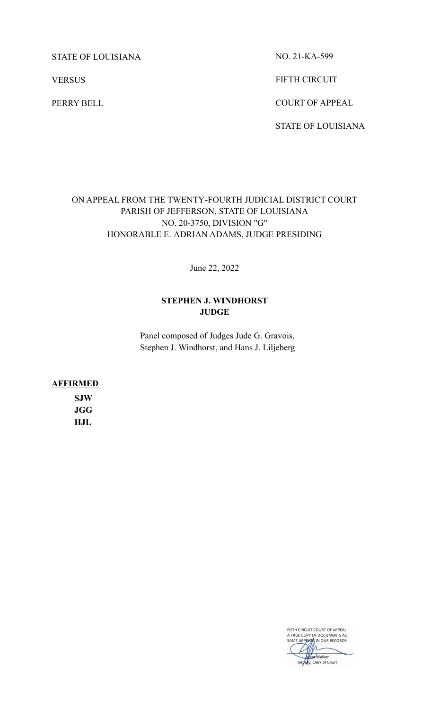STATE OF LOUISIANA

**VERSUS** 

PERRY BELL

NO. 21-KA-599

FIFTH CIRCUIT

COURT OF APPEAL

STATE OF LOUISIANA

# ON APPEAL FROM THE TWENTY-FOURTH JUDICIAL DISTRICT COURT PARISH OF JEFFERSON, STATE OF LOUISIANA NO. 20-3750, DIVISION "G" HONORABLE E. ADRIAN ADAMS, JUDGE PRESIDING

June 22, 2022

# **STEPHEN J. WINDHORST JUDGE**

Panel composed of Judges Jude G. Gravois, Stephen J. Windhorst, and Hans J. Liljeberg

**AFFIRMED**

**SJW JGG HJL**

> FIFTH CIRCUIT COURT OF APPEAL<br>A TRUE COPY OF DOCUMENTS AS<br>SAME APPEARS IN OUR RECORDS  $\Lambda$ sa Walker Deputy, Clerk of Court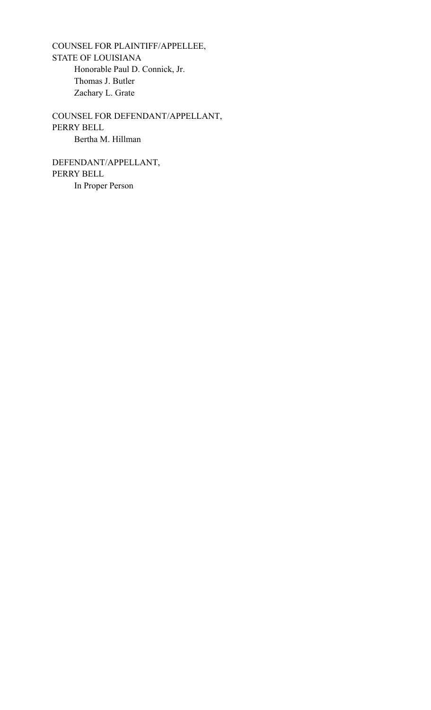COUNSEL FOR PLAINTIFF/APPELLEE, STATE OF LOUISIANA Honorable Paul D. Connick, Jr. Thomas J. Butler Zachary L. Grate

COUNSEL FOR DEFENDANT/APPELLANT, PERRY BELL Bertha M. Hillman

DEFENDANT/APPELLANT, PERRY BELL In Proper Person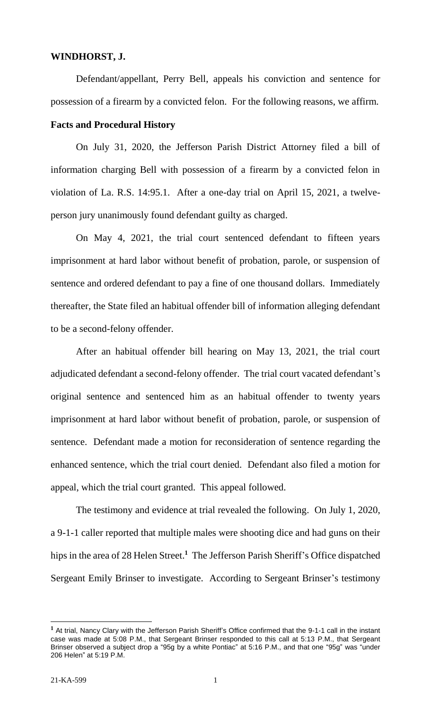## **WINDHORST, J.**

Defendant/appellant, Perry Bell, appeals his conviction and sentence for possession of a firearm by a convicted felon. For the following reasons, we affirm.

#### **Facts and Procedural History**

On July 31, 2020, the Jefferson Parish District Attorney filed a bill of information charging Bell with possession of a firearm by a convicted felon in violation of La. R.S. 14:95.1. After a one-day trial on April 15, 2021, a twelveperson jury unanimously found defendant guilty as charged.

On May 4, 2021, the trial court sentenced defendant to fifteen years imprisonment at hard labor without benefit of probation, parole, or suspension of sentence and ordered defendant to pay a fine of one thousand dollars. Immediately thereafter, the State filed an habitual offender bill of information alleging defendant to be a second-felony offender.

After an habitual offender bill hearing on May 13, 2021, the trial court adjudicated defendant a second-felony offender. The trial court vacated defendant's original sentence and sentenced him as an habitual offender to twenty years imprisonment at hard labor without benefit of probation, parole, or suspension of sentence. Defendant made a motion for reconsideration of sentence regarding the enhanced sentence, which the trial court denied. Defendant also filed a motion for appeal, which the trial court granted. This appeal followed.

The testimony and evidence at trial revealed the following. On July 1, 2020, a 9-1-1 caller reported that multiple males were shooting dice and had guns on their hips in the area of 28 Helen Street. **1** The Jefferson Parish Sheriff's Office dispatched Sergeant Emily Brinser to investigate. According to Sergeant Brinser's testimony

 $\overline{a}$ 

**<sup>1</sup>** At trial, Nancy Clary with the Jefferson Parish Sheriff's Office confirmed that the 9-1-1 call in the instant case was made at 5:08 P.M., that Sergeant Brinser responded to this call at 5:13 P.M., that Sergeant Brinser observed a subject drop a "95g by a white Pontiac" at 5:16 P.M., and that one "95g" was "under 206 Helen" at 5:19 P.M.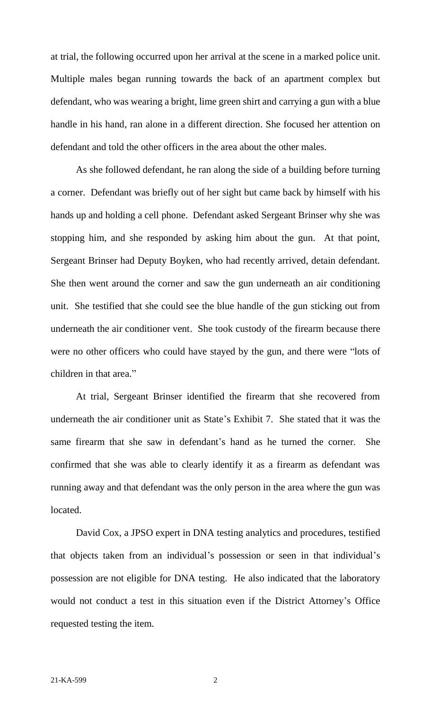at trial, the following occurred upon her arrival at the scene in a marked police unit. Multiple males began running towards the back of an apartment complex but defendant, who was wearing a bright, lime green shirt and carrying a gun with a blue handle in his hand, ran alone in a different direction. She focused her attention on defendant and told the other officers in the area about the other males.

As she followed defendant, he ran along the side of a building before turning a corner. Defendant was briefly out of her sight but came back by himself with his hands up and holding a cell phone. Defendant asked Sergeant Brinser why she was stopping him, and she responded by asking him about the gun. At that point, Sergeant Brinser had Deputy Boyken, who had recently arrived, detain defendant. She then went around the corner and saw the gun underneath an air conditioning unit. She testified that she could see the blue handle of the gun sticking out from underneath the air conditioner vent. She took custody of the firearm because there were no other officers who could have stayed by the gun, and there were "lots of children in that area."

At trial, Sergeant Brinser identified the firearm that she recovered from underneath the air conditioner unit as State's Exhibit 7. She stated that it was the same firearm that she saw in defendant's hand as he turned the corner. She confirmed that she was able to clearly identify it as a firearm as defendant was running away and that defendant was the only person in the area where the gun was located.

David Cox, a JPSO expert in DNA testing analytics and procedures, testified that objects taken from an individual's possession or seen in that individual's possession are not eligible for DNA testing. He also indicated that the laboratory would not conduct a test in this situation even if the District Attorney's Office requested testing the item.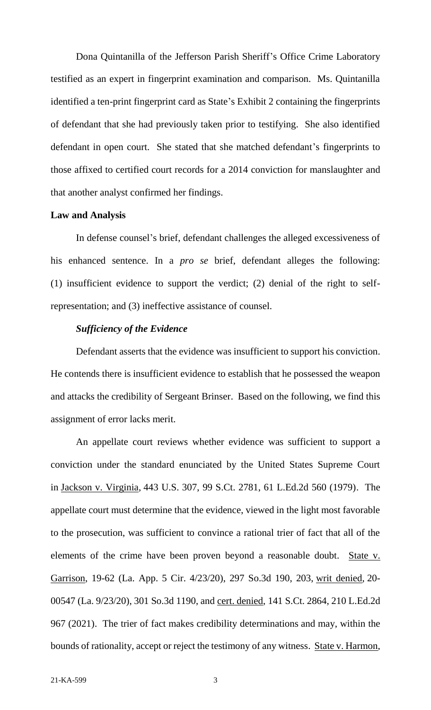Dona Quintanilla of the Jefferson Parish Sheriff's Office Crime Laboratory testified as an expert in fingerprint examination and comparison. Ms. Quintanilla identified a ten-print fingerprint card as State's Exhibit 2 containing the fingerprints of defendant that she had previously taken prior to testifying. She also identified defendant in open court. She stated that she matched defendant's fingerprints to those affixed to certified court records for a 2014 conviction for manslaughter and that another analyst confirmed her findings.

#### **Law and Analysis**

In defense counsel's brief, defendant challenges the alleged excessiveness of his enhanced sentence. In a *pro se* brief, defendant alleges the following: (1) insufficient evidence to support the verdict; (2) denial of the right to selfrepresentation; and (3) ineffective assistance of counsel.

## *Sufficiency of the Evidence*

Defendant asserts that the evidence was insufficient to support his conviction. He contends there is insufficient evidence to establish that he possessed the weapon and attacks the credibility of Sergeant Brinser. Based on the following, we find this assignment of error lacks merit.

An appellate court reviews whether evidence was sufficient to support a conviction under the standard enunciated by the United States Supreme Court in Jackson v. Virginia, 443 U.S. 307, 99 S.Ct. 2781, 61 L.Ed.2d 560 (1979). The appellate court must determine that the evidence, viewed in the light most favorable to the prosecution, was sufficient to convince a rational trier of fact that all of the elements of the crime have been proven beyond a reasonable doubt. State v. Garrison, 19-62 (La. App. 5 Cir. 4/23/20), 297 So.3d 190, 203, writ denied, 20- 00547 (La. 9/23/20), 301 So.3d 1190, and cert. denied, 141 S.Ct. 2864, 210 L.Ed.2d 967 (2021). The trier of fact makes credibility determinations and may, within the bounds of rationality, accept or reject the testimony of any witness. State v. Harmon,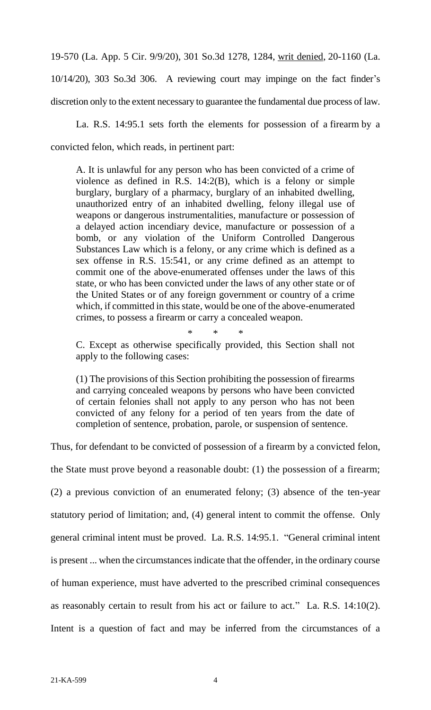19-570 (La. App. 5 Cir. 9/9/20), 301 So.3d 1278, 1284, writ denied, 20-1160 (La. 10/14/20), 303 So.3d 306. A reviewing court may impinge on the fact finder's discretion only to the extent necessary to guarantee the fundamental due process of law.

La. R.S. 14:95.1 sets forth the elements for possession of a firearm by a convicted felon, which reads, in pertinent part:

A. It is unlawful for any person who has been convicted of a crime of violence as defined in R.S. 14:2(B), which is a felony or simple burglary, burglary of a pharmacy, burglary of an inhabited dwelling, unauthorized entry of an inhabited dwelling, felony illegal use of weapons or dangerous instrumentalities, manufacture or possession of a delayed action incendiary device, manufacture or possession of a bomb, or any violation of the Uniform Controlled Dangerous Substances Law which is a felony, or any crime which is defined as a sex offense in R.S. 15:541, or any crime defined as an attempt to commit one of the above-enumerated offenses under the laws of this state, or who has been convicted under the laws of any other state or of the United States or of any foreign government or country of a crime which, if committed in this state, would be one of the above-enumerated crimes, to possess a firearm or carry a concealed weapon.

\* \* \*

C. Except as otherwise specifically provided, this Section shall not apply to the following cases:

(1) The provisions of this Section prohibiting the possession of firearms and carrying concealed weapons by persons who have been convicted of certain felonies shall not apply to any person who has not been convicted of any felony for a period of ten years from the date of completion of sentence, probation, parole, or suspension of sentence.

Thus, for defendant to be convicted of possession of a firearm by a convicted felon,

the State must prove beyond a reasonable doubt: (1) the possession of a firearm; (2) a previous conviction of an enumerated felony; (3) absence of the ten-year statutory period of limitation; and, (4) general intent to commit the offense. Only general criminal intent must be proved. La. R.S. 14:95.1. "General criminal intent is present ... when the circumstances indicate that the offender, in the ordinary course of human experience, must have adverted to the prescribed criminal consequences as reasonably certain to result from his act or failure to act." La. R.S. 14:10(2). Intent is a question of fact and may be inferred from the circumstances of a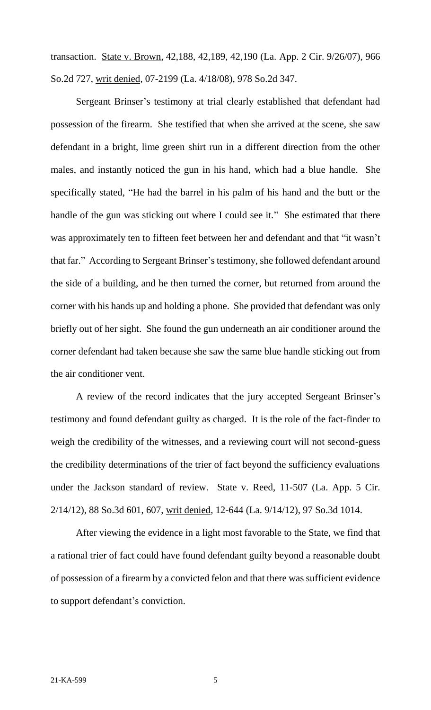transaction. State v. Brown, 42,188, 42,189, 42,190 (La. App. 2 Cir. 9/26/07), 966 So.2d 727, writ denied, 07-2199 (La. 4/18/08), 978 So.2d 347.

Sergeant Brinser's testimony at trial clearly established that defendant had possession of the firearm. She testified that when she arrived at the scene, she saw defendant in a bright, lime green shirt run in a different direction from the other males, and instantly noticed the gun in his hand, which had a blue handle. She specifically stated, "He had the barrel in his palm of his hand and the butt or the handle of the gun was sticking out where I could see it." She estimated that there was approximately ten to fifteen feet between her and defendant and that "it wasn't that far." According to Sergeant Brinser's testimony, she followed defendant around the side of a building, and he then turned the corner, but returned from around the corner with his hands up and holding a phone. She provided that defendant was only briefly out of her sight. She found the gun underneath an air conditioner around the corner defendant had taken because she saw the same blue handle sticking out from the air conditioner vent.

A review of the record indicates that the jury accepted Sergeant Brinser's testimony and found defendant guilty as charged. It is the role of the fact-finder to weigh the credibility of the witnesses, and a reviewing court will not second-guess the credibility determinations of the trier of fact beyond the sufficiency evaluations under the Jackson standard of review. State v. Reed, 11-507 (La. App. 5 Cir. 2/14/12), 88 So.3d 601, 607, writ denied, 12-644 (La. 9/14/12), 97 So.3d 1014.

After viewing the evidence in a light most favorable to the State, we find that a rational trier of fact could have found defendant guilty beyond a reasonable doubt of possession of a firearm by a convicted felon and that there was sufficient evidence to support defendant's conviction.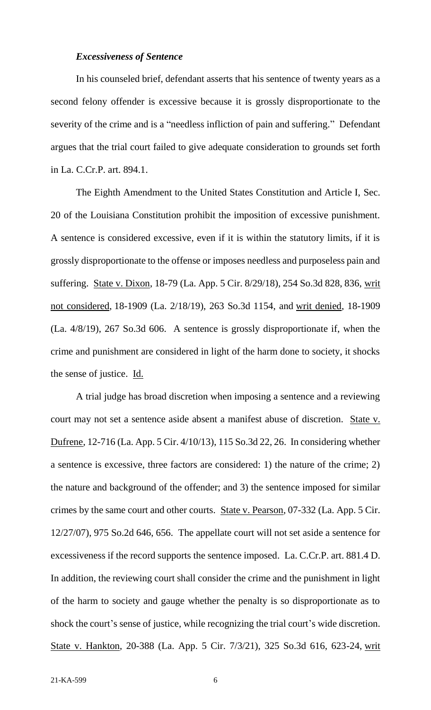#### *Excessiveness of Sentence*

In his counseled brief, defendant asserts that his sentence of twenty years as a second felony offender is excessive because it is grossly disproportionate to the severity of the crime and is a "needless infliction of pain and suffering." Defendant argues that the trial court failed to give adequate consideration to grounds set forth in La. C.Cr.P. art. 894.1.

The Eighth Amendment to the United States Constitution and Article I, Sec. 20 of the Louisiana Constitution prohibit the imposition of excessive punishment. A sentence is considered excessive, even if it is within the statutory limits, if it is grossly disproportionate to the offense or imposes needless and purposeless pain and suffering. State v. Dixon, 18-79 (La. App. 5 Cir. 8/29/18), 254 So.3d 828, 836, writ not considered, 18-1909 (La. 2/18/19), 263 So.3d 1154, and writ denied, 18-1909 (La. 4/8/19), 267 So.3d 606. A sentence is grossly disproportionate if, when the crime and punishment are considered in light of the harm done to society, it shocks the sense of justice. Id.

A trial judge has broad discretion when imposing a sentence and a reviewing court may not set a sentence aside absent a manifest abuse of discretion. State v. Dufrene, 12-716 (La. App. 5 Cir. 4/10/13), 115 So.3d 22, 26. In considering whether a sentence is excessive, three factors are considered: 1) the nature of the crime; 2) the nature and background of the offender; and 3) the sentence imposed for similar crimes by the same court and other courts. State v. Pearson, 07-332 (La. App. 5 Cir. 12/27/07), 975 So.2d 646, 656. The appellate court will not set aside a sentence for excessiveness if the record supports the sentence imposed. La. C.Cr.P. art. 881.4 D. In addition, the reviewing court shall consider the crime and the punishment in light of the harm to society and gauge whether the penalty is so disproportionate as to shock the court's sense of justice, while recognizing the trial court's wide discretion. State v. Hankton, 20-388 (La. App. 5 Cir. 7/3/21), 325 So.3d 616, 623-24, writ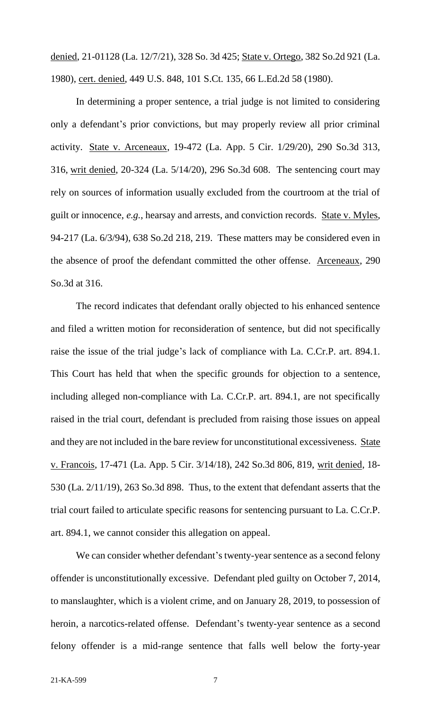denied, 21-01128 (La. 12/7/21), 328 So. 3d 425; State v. Ortego, 382 So.2d 921 (La. 1980), cert. denied, 449 U.S. 848, 101 S.Ct. 135, 66 L.Ed.2d 58 (1980).

In determining a proper sentence, a trial judge is not limited to considering only a defendant's prior convictions, but may properly review all prior criminal activity. State v. Arceneaux, 19-472 (La. App. 5 Cir. 1/29/20), 290 So.3d 313, 316, writ denied, 20-324 (La. 5/14/20), 296 So.3d 608. The sentencing court may rely on sources of information usually excluded from the courtroom at the trial of guilt or innocence, *e.g.*, hearsay and arrests, and conviction records. State v. Myles, 94-217 (La. 6/3/94), 638 So.2d 218, 219. These matters may be considered even in the absence of proof the defendant committed the other offense. Arceneaux, 290 So.3d at 316.

The record indicates that defendant orally objected to his enhanced sentence and filed a written motion for reconsideration of sentence, but did not specifically raise the issue of the trial judge's lack of compliance with La. C.Cr.P. art. 894.1. This Court has held that when the specific grounds for objection to a sentence, including alleged non-compliance with La. C.Cr.P. art. 894.1, are not specifically raised in the trial court, defendant is precluded from raising those issues on appeal and they are not included in the bare review for unconstitutional excessiveness. State v. Francois, 17-471 (La. App. 5 Cir. 3/14/18), 242 So.3d 806, 819, writ denied, 18- 530 (La. 2/11/19), 263 So.3d 898. Thus, to the extent that defendant asserts that the trial court failed to articulate specific reasons for sentencing pursuant to La. C.Cr.P. art. 894.1, we cannot consider this allegation on appeal.

We can consider whether defendant's twenty-year sentence as a second felony offender is unconstitutionally excessive. Defendant pled guilty on October 7, 2014, to manslaughter, which is a violent crime, and on January 28, 2019, to possession of heroin, a narcotics-related offense. Defendant's twenty-year sentence as a second felony offender is a mid-range sentence that falls well below the forty-year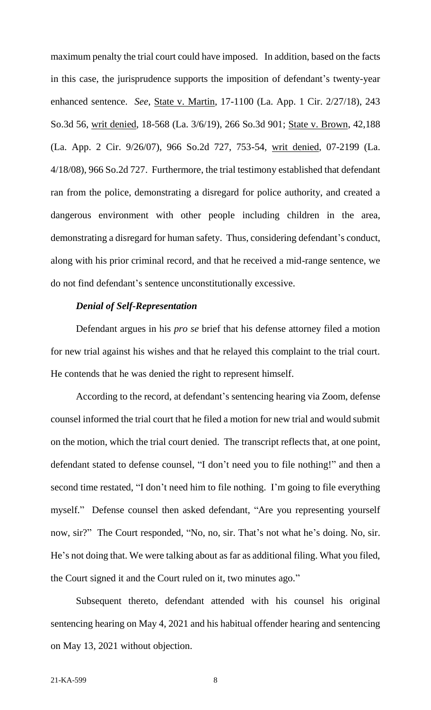maximum penalty the trial court could have imposed. In addition, based on the facts in this case, the jurisprudence supports the imposition of defendant's twenty-year enhanced sentence. *See*, State v. Martin, 17-1100 (La. App. 1 Cir. 2/27/18), 243 So.3d 56, writ denied, 18-568 (La. 3/6/19), 266 So.3d 901; State v. Brown, 42,188 (La. App. 2 Cir. 9/26/07), 966 So.2d 727, 753-54, writ denied, 07-2199 (La. 4/18/08), 966 So.2d 727. Furthermore, the trial testimony established that defendant ran from the police, demonstrating a disregard for police authority, and created a dangerous environment with other people including children in the area, demonstrating a disregard for human safety. Thus, considering defendant's conduct, along with his prior criminal record, and that he received a mid-range sentence, we do not find defendant's sentence unconstitutionally excessive.

## *Denial of Self-Representation*

Defendant argues in his *pro se* brief that his defense attorney filed a motion for new trial against his wishes and that he relayed this complaint to the trial court. He contends that he was denied the right to represent himself.

According to the record, at defendant's sentencing hearing via Zoom, defense counsel informed the trial court that he filed a motion for new trial and would submit on the motion, which the trial court denied. The transcript reflects that, at one point, defendant stated to defense counsel, "I don't need you to file nothing!" and then a second time restated, "I don't need him to file nothing. I'm going to file everything myself." Defense counsel then asked defendant, "Are you representing yourself now, sir?" The Court responded, "No, no, sir. That's not what he's doing. No, sir. He's not doing that. We were talking about as far as additional filing. What you filed, the Court signed it and the Court ruled on it, two minutes ago."

Subsequent thereto, defendant attended with his counsel his original sentencing hearing on May 4, 2021 and his habitual offender hearing and sentencing on May 13, 2021 without objection.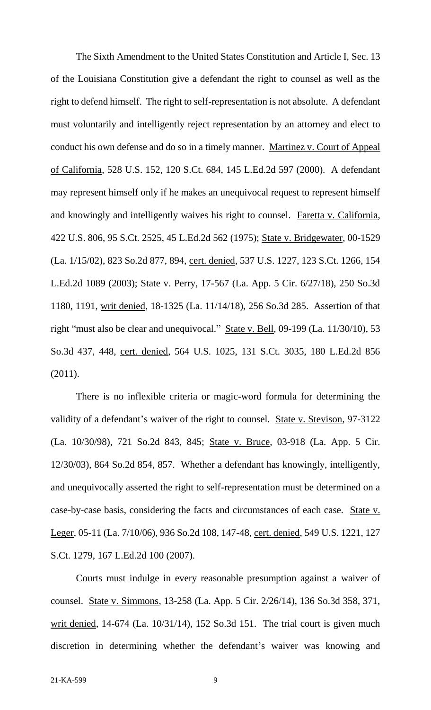The Sixth Amendment to the United States Constitution and Article I, Sec. 13 of the Louisiana Constitution give a defendant the right to counsel as well as the right to defend himself. The right to self-representation is not absolute. A defendant must voluntarily and intelligently reject representation by an attorney and elect to conduct his own defense and do so in a timely manner. Martinez v. Court of Appeal of California, 528 U.S. 152, 120 S.Ct. 684, 145 L.Ed.2d 597 (2000). A defendant may represent himself only if he makes an unequivocal request to represent himself and knowingly and intelligently waives his right to counsel. Faretta v. California*,*  422 U.S. 806, 95 S.Ct. 2525, 45 L.Ed.2d 562 (1975); State v. Bridgewater, 00-1529 (La. 1/15/02), 823 So.2d 877, 894, cert. denied, 537 U.S. 1227, 123 S.Ct. 1266, 154 L.Ed.2d 1089 (2003); State v. Perry, 17-567 (La. App. 5 Cir. 6/27/18), 250 So.3d 1180, 1191, writ denied, 18-1325 (La. 11/14/18), 256 So.3d 285. Assertion of that right "must also be clear and unequivocal." State v. Bell, 09-199 (La. 11/30/10), 53 So.3d 437, 448, cert. denied, 564 U.S. 1025, 131 S.Ct. 3035, 180 L.Ed.2d 856 (2011).

There is no inflexible criteria or magic-word formula for determining the validity of a defendant's waiver of the right to counsel. State v. Stevison, 97-3122 (La. 10/30/98), 721 So.2d 843, 845; State v. Bruce, 03-918 (La. App. 5 Cir. 12/30/03), 864 So.2d 854, 857. Whether a defendant has knowingly, intelligently, and unequivocally asserted the right to self-representation must be determined on a case-by-case basis, considering the facts and circumstances of each case. State v. Leger, 05-11 (La. 7/10/06), 936 So.2d 108, 147-48, cert. denied, 549 U.S. 1221, 127 S.Ct. 1279, 167 L.Ed.2d 100 (2007).

Courts must indulge in every reasonable presumption against a waiver of counsel. State v. Simmons, 13-258 (La. App. 5 Cir. 2/26/14), 136 So.3d 358, 371, writ denied, 14-674 (La. 10/31/14), 152 So.3d 151*.* The trial court is given much discretion in determining whether the defendant's waiver was knowing and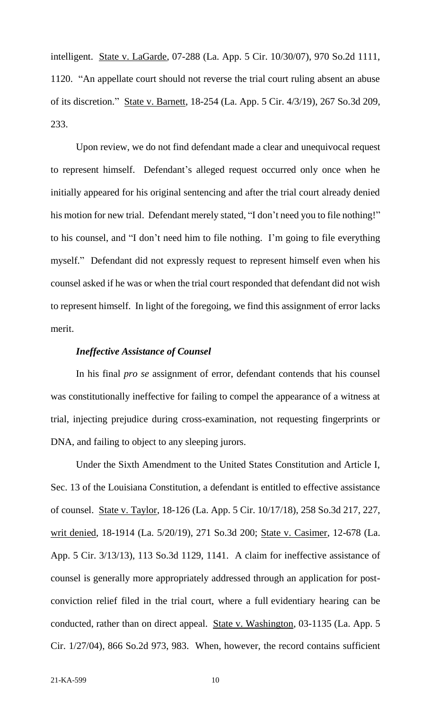intelligent. State v. LaGarde, 07-288 (La. App. 5 Cir. 10/30/07), 970 So.2d 1111, 1120. "An appellate court should not reverse the trial court ruling absent an abuse of its discretion." State v. Barnett, 18-254 (La. App. 5 Cir. 4/3/19), 267 So.3d 209, 233.

Upon review, we do not find defendant made a clear and unequivocal request to represent himself. Defendant's alleged request occurred only once when he initially appeared for his original sentencing and after the trial court already denied his motion for new trial. Defendant merely stated, "I don't need you to file nothing!" to his counsel, and "I don't need him to file nothing. I'm going to file everything myself." Defendant did not expressly request to represent himself even when his counsel asked if he was or when the trial court responded that defendant did not wish to represent himself. In light of the foregoing, we find this assignment of error lacks merit.

#### *Ineffective Assistance of Counsel*

In his final *pro se* assignment of error, defendant contends that his counsel was constitutionally ineffective for failing to compel the appearance of a witness at trial, injecting prejudice during cross-examination, not requesting fingerprints or DNA, and failing to object to any sleeping jurors.

Under the Sixth Amendment to the United States Constitution and Article I, Sec. 13 of the Louisiana Constitution, a defendant is entitled to effective assistance of counsel. State v. Taylor, 18-126 (La. App. 5 Cir. 10/17/18), 258 So.3d 217, 227, writ denied, 18-1914 (La. 5/20/19), 271 So.3d 200; State v. Casimer, 12-678 (La. App. 5 Cir. 3/13/13), 113 So.3d 1129, 1141. A claim for ineffective assistance of counsel is generally more appropriately addressed through an application for postconviction relief filed in the trial court, where a full evidentiary hearing can be conducted, rather than on direct appeal. State v. Washington, 03-1135 (La. App. 5 Cir. 1/27/04), 866 So.2d 973, 983. When, however, the record contains sufficient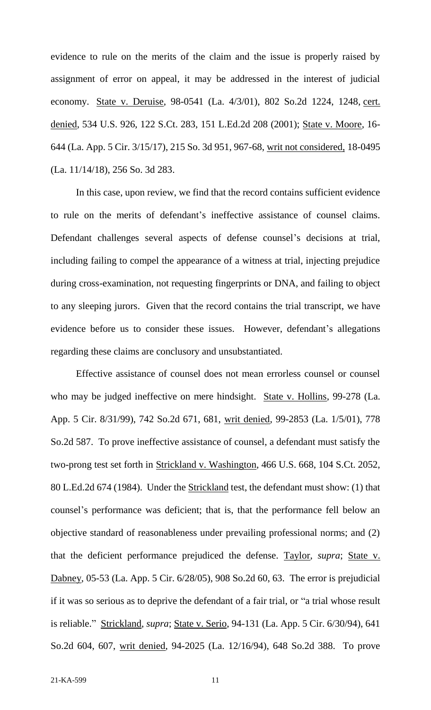evidence to rule on the merits of the claim and the issue is properly raised by assignment of error on appeal, it may be addressed in the interest of judicial economy. State v. Deruise, 98-0541 (La. 4/3/01), 802 So.2d 1224, 1248, cert. denied, 534 U.S. 926, 122 S.Ct. 283, 151 L.Ed.2d 208 (2001); State v. Moore, 16- 644 (La. App. 5 Cir. 3/15/17), 215 So. 3d 951, 967-68, writ not considered, 18-0495 (La. 11/14/18), 256 So. 3d 283.

In this case, upon review, we find that the record contains sufficient evidence to rule on the merits of defendant's ineffective assistance of counsel claims. Defendant challenges several aspects of defense counsel's decisions at trial, including failing to compel the appearance of a witness at trial, injecting prejudice during cross-examination, not requesting fingerprints or DNA, and failing to object to any sleeping jurors. Given that the record contains the trial transcript, we have evidence before us to consider these issues. However, defendant's allegations regarding these claims are conclusory and unsubstantiated.

Effective assistance of counsel does not mean errorless counsel or counsel who may be judged ineffective on mere hindsight. State v. Hollins, 99-278 (La. App. 5 Cir. 8/31/99), 742 So.2d 671, 681, writ denied, 99-2853 (La. 1/5/01), 778 So.2d 587. To prove ineffective assistance of counsel, a defendant must satisfy the two-prong test set forth in Strickland v. Washington, 466 U.S. 668, 104 S.Ct. 2052, 80 L.Ed.2d 674 (1984). Under the Strickland test, the defendant must show: (1) that counsel's performance was deficient; that is, that the performance fell below an objective standard of reasonableness under prevailing professional norms; and (2) that the deficient performance prejudiced the defense. Taylor, *supra*; State v. Dabney, 05-53 (La. App. 5 Cir. 6/28/05), 908 So.2d 60, 63. The error is prejudicial if it was so serious as to deprive the defendant of a fair trial, or "a trial whose result is reliable." Strickland, *supra*; State v. Serio, 94-131 (La. App. 5 Cir. 6/30/94), 641 So.2d 604, 607, writ denied, 94-2025 (La. 12/16/94), 648 So.2d 388. To prove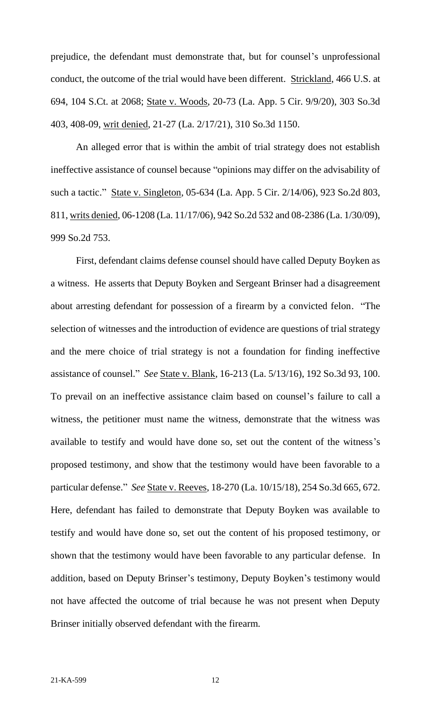prejudice, the defendant must demonstrate that, but for counsel's unprofessional conduct, the outcome of the trial would have been different. Strickland, 466 U.S. at 694, 104 S.Ct. at 2068; State v. Woods, 20-73 (La. App. 5 Cir. 9/9/20), 303 So.3d 403, 408-09, writ denied, 21-27 (La. 2/17/21), 310 So.3d 1150.

An alleged error that is within the ambit of trial strategy does not establish ineffective assistance of counsel because "opinions may differ on the advisability of such a tactic." State v. Singleton, 05-634 (La. App. 5 Cir. 2/14/06), 923 So.2d 803, 811, writs denied, 06-1208 (La. 11/17/06), 942 So.2d 532 and 08-2386 (La. 1/30/09), 999 So.2d 753.

First, defendant claims defense counsel should have called Deputy Boyken as a witness. He asserts that Deputy Boyken and Sergeant Brinser had a disagreement about arresting defendant for possession of a firearm by a convicted felon. "The selection of witnesses and the introduction of evidence are questions of trial strategy and the mere choice of trial strategy is not a foundation for finding ineffective assistance of counsel." *See* State v. Blank, 16-213 (La. 5/13/16), 192 So.3d 93, 100. To prevail on an ineffective assistance claim based on counsel's failure to call a witness, the petitioner must name the witness, demonstrate that the witness was available to testify and would have done so, set out the content of the witness's proposed testimony, and show that the testimony would have been favorable to a particular defense." *See* State v. Reeves, 18-270 (La. 10/15/18), 254 So.3d 665, 672. Here, defendant has failed to demonstrate that Deputy Boyken was available to testify and would have done so, set out the content of his proposed testimony, or shown that the testimony would have been favorable to any particular defense. In addition, based on Deputy Brinser's testimony, Deputy Boyken's testimony would not have affected the outcome of trial because he was not present when Deputy Brinser initially observed defendant with the firearm.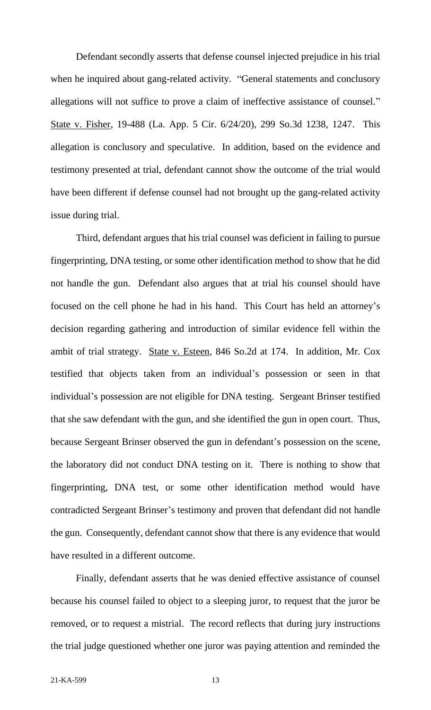Defendant secondly asserts that defense counsel injected prejudice in his trial when he inquired about gang-related activity. "General statements and conclusory allegations will not suffice to prove a claim of ineffective assistance of counsel." State v. Fisher, 19-488 (La. App. 5 Cir. 6/24/20), 299 So.3d 1238, 1247. This allegation is conclusory and speculative. In addition, based on the evidence and testimony presented at trial, defendant cannot show the outcome of the trial would have been different if defense counsel had not brought up the gang-related activity issue during trial.

Third, defendant argues that his trial counsel was deficient in failing to pursue fingerprinting, DNA testing, or some other identification method to show that he did not handle the gun. Defendant also argues that at trial his counsel should have focused on the cell phone he had in his hand. This Court has held an attorney's decision regarding gathering and introduction of similar evidence fell within the ambit of trial strategy. State v. Esteen, 846 So.2d at 174. In addition, Mr. Cox testified that objects taken from an individual's possession or seen in that individual's possession are not eligible for DNA testing. Sergeant Brinser testified that she saw defendant with the gun, and she identified the gun in open court. Thus, because Sergeant Brinser observed the gun in defendant's possession on the scene, the laboratory did not conduct DNA testing on it. There is nothing to show that fingerprinting, DNA test, or some other identification method would have contradicted Sergeant Brinser's testimony and proven that defendant did not handle the gun. Consequently, defendant cannot show that there is any evidence that would have resulted in a different outcome.

Finally, defendant asserts that he was denied effective assistance of counsel because his counsel failed to object to a sleeping juror, to request that the juror be removed, or to request a mistrial. The record reflects that during jury instructions the trial judge questioned whether one juror was paying attention and reminded the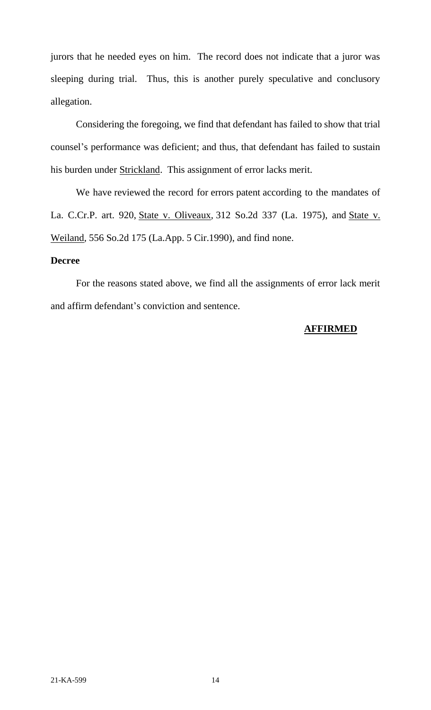jurors that he needed eyes on him. The record does not indicate that a juror was sleeping during trial. Thus, this is another purely speculative and conclusory allegation.

Considering the foregoing, we find that defendant has failed to show that trial counsel's performance was deficient; and thus, that defendant has failed to sustain his burden under Strickland. This assignment of error lacks merit.

We have reviewed the record for errors patent according to the mandates of La. C.Cr.P. art. 920, State v. Oliveaux*,* 312 So.2d 337 (La. 1975), and State v. Weiland*,* 556 So.2d 175 (La.App. 5 Cir.1990), and find none.

#### **Decree**

For the reasons stated above, we find all the assignments of error lack merit and affirm defendant's conviction and sentence.

## **AFFIRMED**